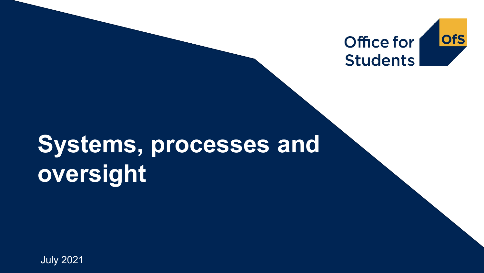

# **Systems, processes and oversight**

July 2021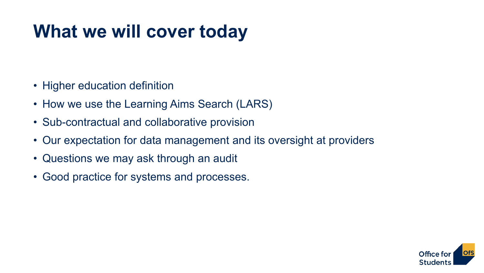## **What we will cover today**

- Higher education definition
- How we use the Learning Aims Search (LARS)
- Sub-contractual and collaborative provision
- Our expectation for data management and its oversight at providers
- Questions we may ask through an audit
- Good practice for systems and processes.

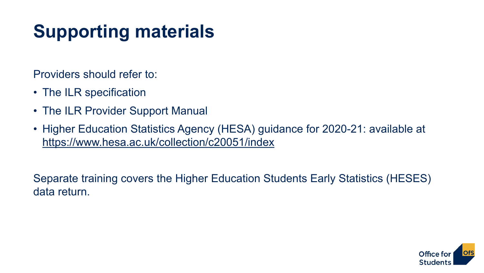## **Supporting materials**

Providers should refer to:

- The ILR specification
- The ILR Provider Support Manual
- Higher Education Statistics Agency (HESA) guidance for 2020-21: available at <https://www.hesa.ac.uk/collection/c20051/index>

Separate training covers the Higher Education Students Early Statistics (HESES) data return.

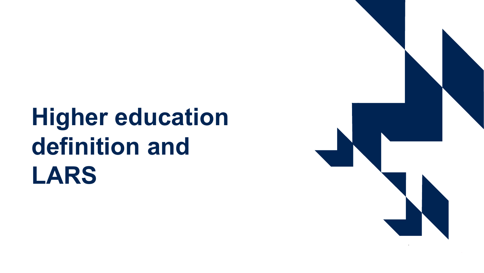# **Higher education definition and LARS**

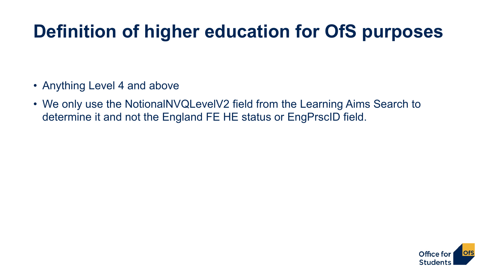### **Definition of higher education for OfS purposes**

- Anything Level 4 and above
- We only use the NotionalNVQLevelV2 field from the Learning Aims Search to determine it and not the England FE HE status or EngPrscID field.

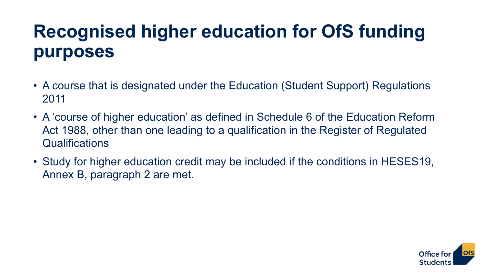### **Recognised higher education for OfS funding purposes**

- A course that is designated under the Education (Student Support) Regulations 2011
- A 'course of higher education' as defined in Schedule 6 of the Education Reform Act 1988, other than one leading to a qualification in the Register of Regulated Qualifications
- Study for higher education credit may be included if the conditions in HESES19, Annex B, paragraph 2 are met.

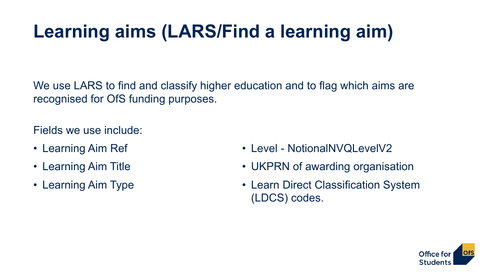## **Learning aims (LARS/Find a learning aim)**

We use LARS to find and classify higher education and to flag which aims are recognised for OfS funding purposes.

Fields we use include:

- Learning Aim Ref
- Learning Aim Title
- Learning Aim Type
- Level NotionalNVQLevelV2
- UKPRN of awarding organisation
- Learn Direct Classification System (LDCS) codes.

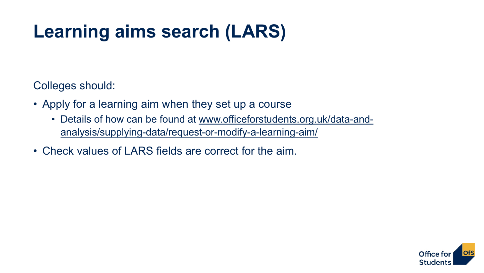## **Learning aims search (LARS)**

Colleges should:

- Apply for a learning aim when they set up a course
	- [Details of how can be found at www.officeforstudents.org.uk/data-and](http://www.officeforstudents.org.uk/data-and-analysis/supplying-data/request-or-modify-a-learning-aim/)analysis/supplying-data/request-or-modify-a-learning-aim/
- Check values of LARS fields are correct for the aim.

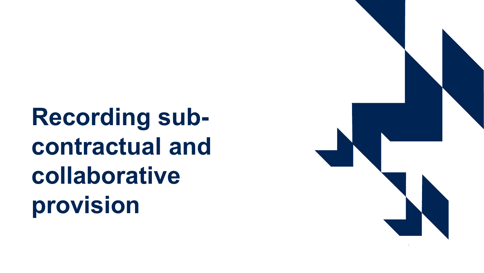**Recording subcontractual and collaborative provision**

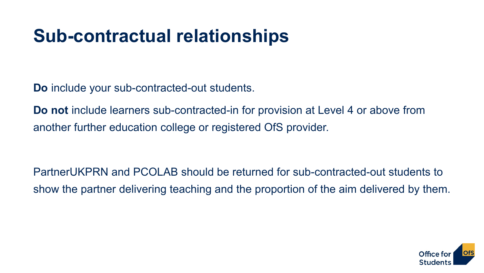### **Sub-contractual relationships**

**Do** include your sub-contracted-out students.

**Do not** include learners sub-contracted-in for provision at Level 4 or above from another further education college or registered OfS provider.

PartnerUKPRN and PCOLAB should be returned for sub-contracted-out students to show the partner delivering teaching and the proportion of the aim delivered by them.

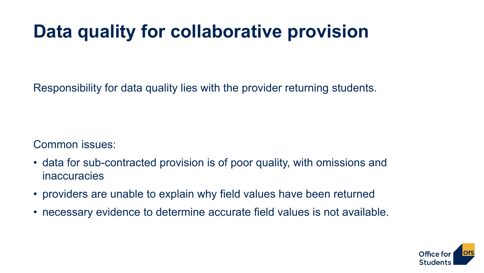### **Data quality for collaborative provision**

Responsibility for data quality lies with the provider returning students.

Common issues:

- data for sub-contracted provision is of poor quality, with omissions and inaccuracies
- providers are unable to explain why field values have been returned
- necessary evidence to determine accurate field values is not available.

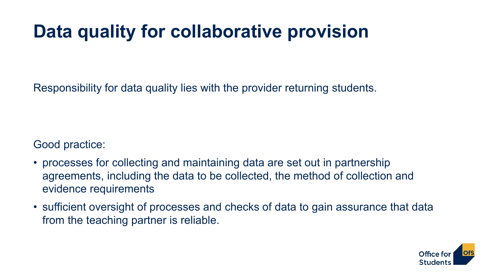### **Data quality for collaborative provision**

Responsibility for data quality lies with the provider returning students.

Good practice:

- processes for collecting and maintaining data are set out in partnership agreements, including the data to be collected, the method of collection and evidence requirements
- sufficient oversight of processes and checks of data to gain assurance that data from the teaching partner is reliable.

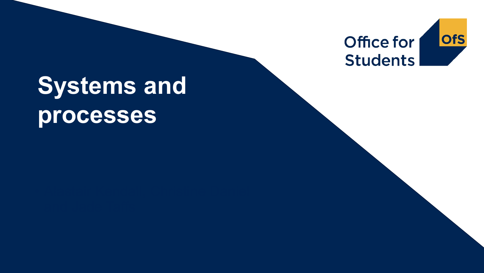

## **Systems and processes**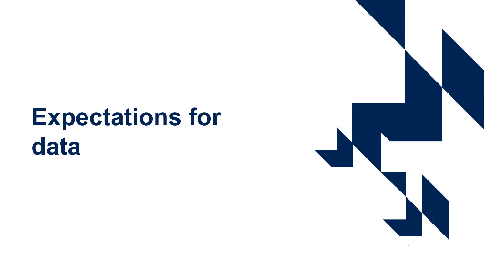## **Expectations for data**

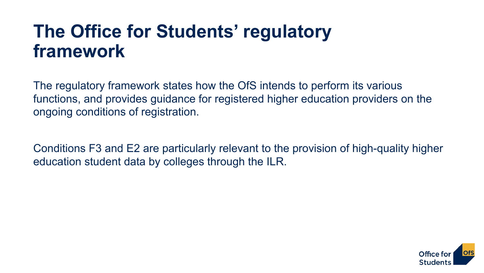#### **The Office for Students' regulatory framework**

The regulatory framework states how the OfS intends to perform its various functions, and provides guidance for registered higher education providers on the ongoing conditions of registration.

Conditions F3 and E2 are particularly relevant to the provision of high-quality higher education student data by colleges through the ILR.

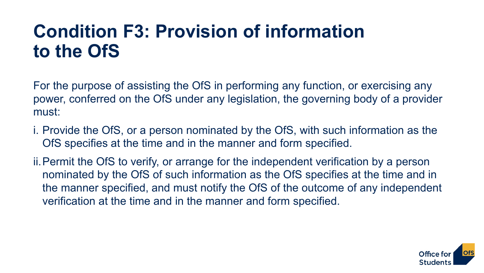### **Condition F3: Provision of information to the OfS**

For the purpose of assisting the OfS in performing any function, or exercising any power, conferred on the OfS under any legislation, the governing body of a provider must:

i. Provide the OfS, or a person nominated by the OfS, with such information as the OfS specifies at the time and in the manner and form specified.

ii.Permit the OfS to verify, or arrange for the independent verification by a person nominated by the OfS of such information as the OfS specifies at the time and in the manner specified, and must notify the OfS of the outcome of any independent verification at the time and in the manner and form specified.

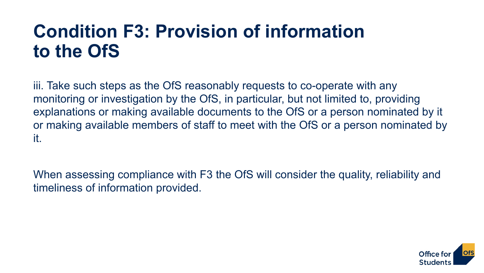### **Condition F3: Provision of information to the OfS**

iii. Take such steps as the OfS reasonably requests to co-operate with any monitoring or investigation by the OfS, in particular, but not limited to, providing explanations or making available documents to the OfS or a person nominated by it or making available members of staff to meet with the OfS or a person nominated by it.

When assessing compliance with F3 the OfS will consider the quality, reliability and timeliness of information provided.

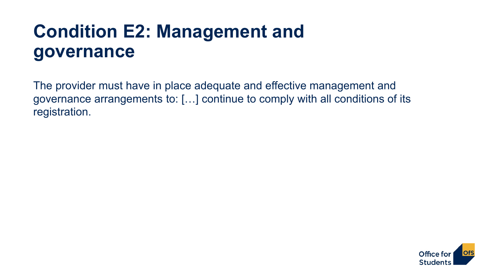### **Condition E2: Management and governance**

The provider must have in place adequate and effective management and governance arrangements to: […] continue to comply with all conditions of its registration.

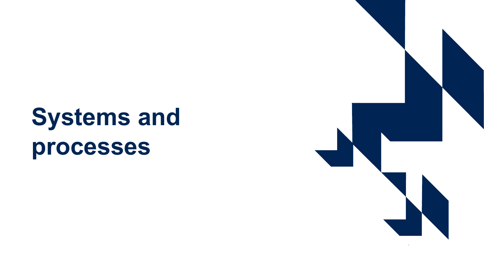## **Systems and processes**

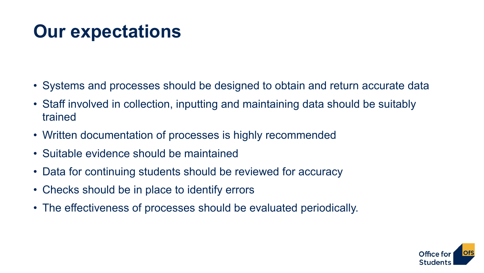## **Our expectations**

- Systems and processes should be designed to obtain and return accurate data
- Staff involved in collection, inputting and maintaining data should be suitably trained
- Written documentation of processes is highly recommended
- Suitable evidence should be maintained
- Data for continuing students should be reviewed for accuracy
- Checks should be in place to identify errors
- The effectiveness of processes should be evaluated periodically.

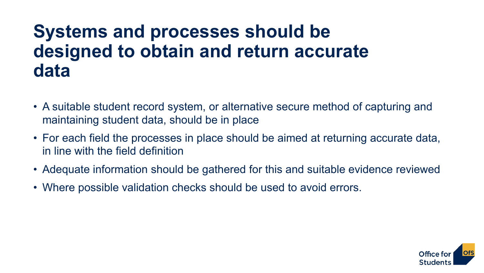#### **Systems and processes should be designed to obtain and return accurate data**

- A suitable student record system, or alternative secure method of capturing and maintaining student data, should be in place
- For each field the processes in place should be aimed at returning accurate data, in line with the field definition
- Adequate information should be gathered for this and suitable evidence reviewed
- Where possible validation checks should be used to avoid errors.

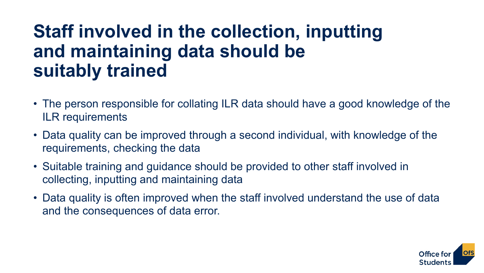#### **Staff involved in the collection, inputting and maintaining data should be suitably trained**

- The person responsible for collating ILR data should have a good knowledge of the ILR requirements
- Data quality can be improved through a second individual, with knowledge of the requirements, checking the data
- Suitable training and guidance should be provided to other staff involved in collecting, inputting and maintaining data
- Data quality is often improved when the staff involved understand the use of data and the consequences of data error.

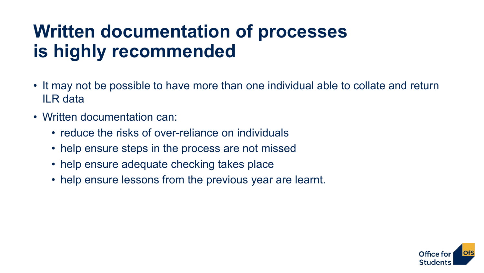### **Written documentation of processes is highly recommended**

- It may not be possible to have more than one individual able to collate and return ILR data
- Written documentation can:
	- reduce the risks of over-reliance on individuals
	- help ensure steps in the process are not missed
	- help ensure adequate checking takes place
	- help ensure lessons from the previous year are learnt.

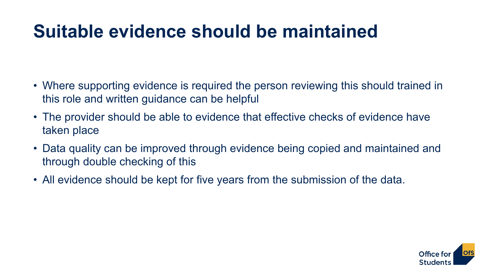### **Suitable evidence should be maintained**

- Where supporting evidence is required the person reviewing this should trained in this role and written guidance can be helpful
- The provider should be able to evidence that effective checks of evidence have taken place
- Data quality can be improved through evidence being copied and maintained and through double checking of this
- All evidence should be kept for five years from the submission of the data.

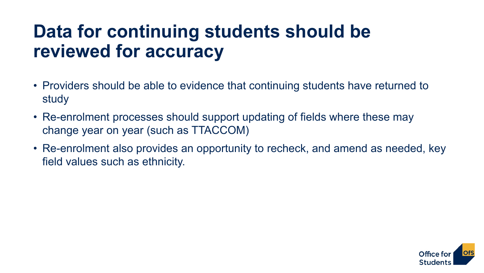### **Data for continuing students should be reviewed for accuracy**

- Providers should be able to evidence that continuing students have returned to study
- Re-enrolment processes should support updating of fields where these may change year on year (such as TTACCOM)
- Re-enrolment also provides an opportunity to recheck, and amend as needed, key field values such as ethnicity.

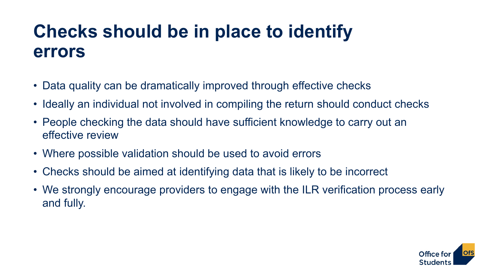### **Checks should be in place to identify errors**

- Data quality can be dramatically improved through effective checks
- Ideally an individual not involved in compiling the return should conduct checks
- People checking the data should have sufficient knowledge to carry out an effective review
- Where possible validation should be used to avoid errors
- Checks should be aimed at identifying data that is likely to be incorrect
- We strongly encourage providers to engage with the ILR verification process early and fully.

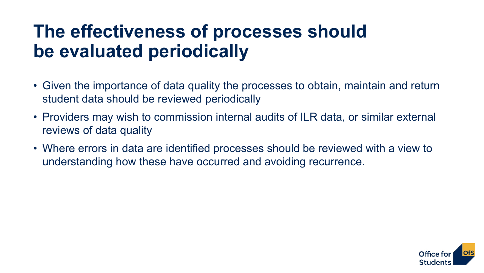### **The effectiveness of processes should be evaluated periodically**

- Given the importance of data quality the processes to obtain, maintain and return student data should be reviewed periodically
- Providers may wish to commission internal audits of ILR data, or similar external reviews of data quality
- Where errors in data are identified processes should be reviewed with a view to understanding how these have occurred and avoiding recurrence.

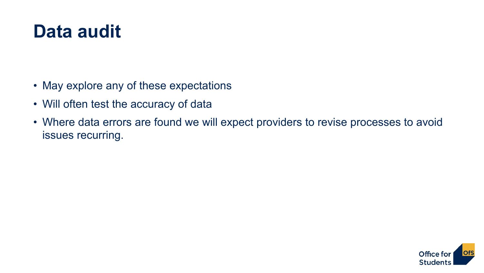#### **Data audit**

- May explore any of these expectations
- Will often test the accuracy of data
- Where data errors are found we will expect providers to revise processes to avoid issues recurring.

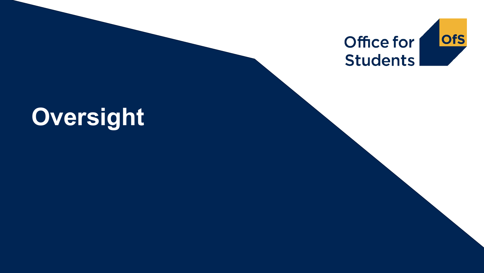

## **Oversight**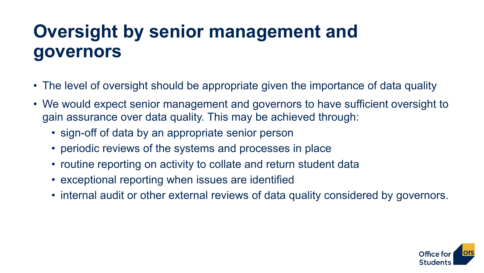## **Oversight by senior management and governors**

- The level of oversight should be appropriate given the importance of data quality
- We would expect senior management and governors to have sufficient oversight to gain assurance over data quality. This may be achieved through:
	- sign-off of data by an appropriate senior person
	- periodic reviews of the systems and processes in place
	- routine reporting on activity to collate and return student data
	- exceptional reporting when issues are identified
	- internal audit or other external reviews of data quality considered by governors.

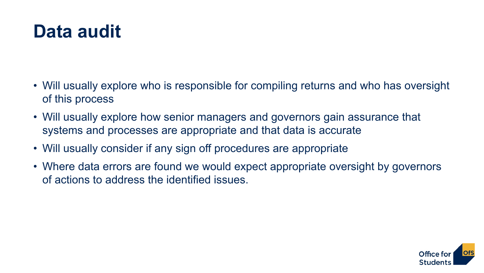#### **Data audit**

- Will usually explore who is responsible for compiling returns and who has oversight of this process
- Will usually explore how senior managers and governors gain assurance that systems and processes are appropriate and that data is accurate
- Will usually consider if any sign off procedures are appropriate
- Where data errors are found we would expect appropriate oversight by governors of actions to address the identified issues.